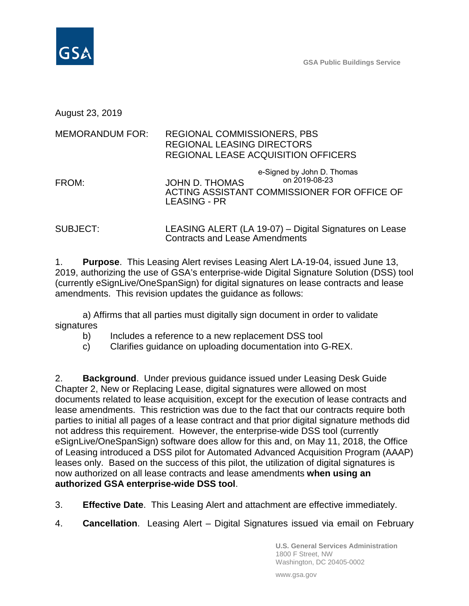

August 23, 2019

#### MEMORANDUM FOR: REGIONAL COMMISSIONERS, PBS REGIONAL LEASING DIRECTORS REGIONAL LEASE ACQUISITION OFFICERS

FROM: JOHN D. THOMAS ACTING ASSISTANT COMMISSIONER FOR OFFICE OF LEASING - PR e-Signed by John D. Thomas on 2019-08-23

SUBJECT: LEASING ALERT (LA 19-07) – Digital Signatures on Lease Contracts and Lease Amendments

1. **Purpose**. This Leasing Alert revises Leasing Alert LA-19-04, issued June 13, 2019, authorizing the use of GSA's enterprise-wide Digital Signature Solution (DSS) tool (currently eSignLive/OneSpanSign) for digital signatures on lease contracts and lease amendments. This revision updates the guidance as follows:

a) Affirms that all parties must digitally sign document in order to validate signatures

b) Includes a reference to a new replacement DSS tool

c) Clarifies guidance on uploading documentation into G-REX.

2. **Background**. Under previous guidance issued under Leasing Desk Guide Chapter 2, New or Replacing Lease, digital signatures were allowed on most documents related to lease acquisition, except for the execution of lease contracts and lease amendments. This restriction was due to the fact that our contracts require both parties to initial all pages of a lease contract and that prior digital signature methods did not address this requirement. However, the enterprise-wide DSS tool (currently eSignLive/OneSpanSign) software does allow for this and, on May 11, 2018, the Office of Leasing introduced a DSS pilot for Automated Advanced Acquisition Program (AAAP) leases only. Based on the success of this pilot, the utilization of digital signatures is now authorized on all lease contracts and lease amendments **when using an authorized GSA enterprise-wide DSS tool**.

3. **Effective Date**. This Leasing Alert and attachment are effective immediately.

4. **Cancellation**. Leasing Alert – Digital Signatures issued via email on February

**U.S. General Services Administration** 1800 F Street, NW Washington, DC 20405-0002

www.gsa.gov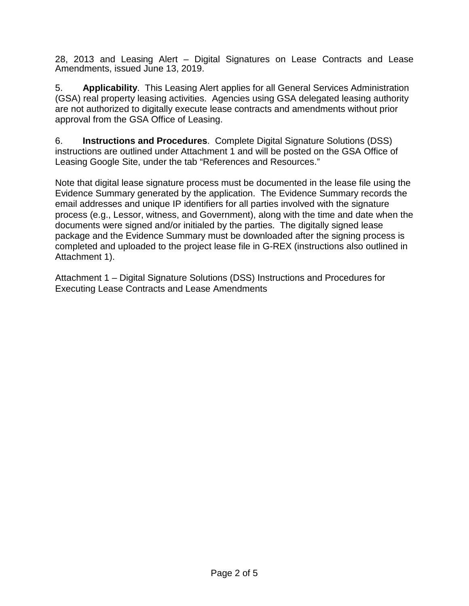28, 2013 and Leasing Alert – Digital Signatures on Lease Contracts and Lease Amendments, issued June 13, 2019.

5. **Applicability**. This Leasing Alert applies for all General Services Administration (GSA) real property leasing activities. Agencies using GSA delegated leasing authority are not authorized to digitally execute lease contracts and amendments without prior approval from the GSA Office of Leasing.

6. **Instructions and Procedures**. Complete Digital Signature Solutions (DSS) instructions are outlined under Attachment 1 and will be posted on the GSA Office of Leasing Google Site, under the tab "References and Resources."

Note that digital lease signature process must be documented in the lease file using the Evidence Summary generated by the application. The Evidence Summary records the email addresses and unique IP identifiers for all parties involved with the signature process (e.g., Lessor, witness, and Government), along with the time and date when the documents were signed and/or initialed by the parties. The digitally signed lease package and the Evidence Summary must be downloaded after the signing process is completed and uploaded to the project lease file in G-REX (instructions also outlined in Attachment 1).

Attachment 1 – Digital Signature Solutions (DSS) Instructions and Procedures for Executing Lease Contracts and Lease Amendments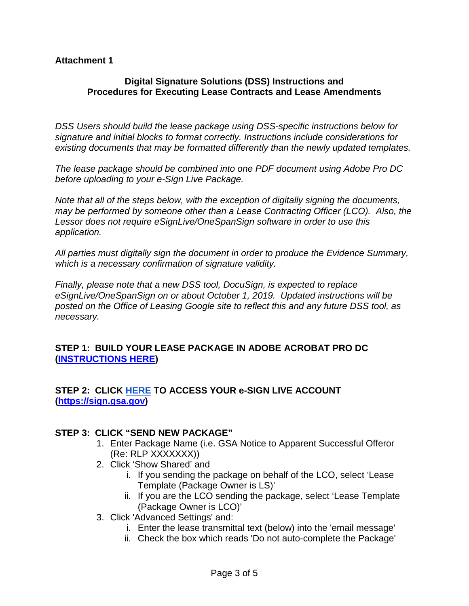#### **Attachment 1**

#### **Digital Signature Solutions (DSS) Instructions and Procedures for Executing Lease Contracts and Lease Amendments**

*DSS Users should build the lease package using DSS-specific instructions below for signature and initial blocks to format correctly. Instructions include considerations for existing documents that may be formatted differently than the newly updated templates.*

*The lease package should be combined into one PDF document using Adobe Pro DC before uploading to your e-Sign Live Package.*

*Note that all of the steps below, with the exception of digitally signing the documents, may be performed by someone other than a Lease Contracting Officer (LCO). Also, the Lessor does not require eSignLive/OneSpanSign software in order to use this application.*

*All parties must digitally sign the document in order to produce the Evidence Summary, which is a necessary confirmation of signature validity.*

*Finally, please note that a new DSS tool, DocuSign, is expected to replace eSignLive/OneSpanSign on or about October 1, 2019. Updated instructions will be posted on the Office of Leasing Google site to reflect this and any future DSS tool, as necessary.*

### **STEP 1: BUILD YOUR LEASE PACKAGE IN ADOBE ACROBAT PRO DC [\(INSTRUCTIONS HERE\)](https://docs.google.com/document/d/18lfd5hdRmWBpj9586GtnkXN-qM-8SbyEDLYjI5z-Qo0/edit?pli=1)**

### **STEP 2: CLICK [HERE](https://www.google.com/url?q=https%3A%2F%2Fsign.gsa.gov&sa=D&sntz=1&usg=AFQjCNHJg44Ijskaz8BLbBf4ud2R2CKHvA) TO ACCESS YOUR e-SIGN LIVE ACCOUNT [\(https://sign.gsa.gov\)](https://www.google.com/url?q=https%3A%2F%2Fsign.gsa.gov&sa=D&sntz=1&usg=AFQjCNHJg44Ijskaz8BLbBf4ud2R2CKHvA)**

#### **STEP 3: CLICK "SEND NEW PACKAGE"**

- 1. Enter Package Name (i.e. GSA Notice to Apparent Successful Offeror (Re: RLP XXXXXXX))
- 2. Click 'Show Shared' and
	- i. If you sending the package on behalf of the LCO, select 'Lease Template (Package Owner is LS)'
	- ii. If you are the LCO sending the package, select 'Lease Template (Package Owner is LCO)'
- 3. Click 'Advanced Settings' and:
	- i. Enter the lease transmittal text (below) into the 'email message'
	- ii. Check the box which reads 'Do not auto-complete the Package'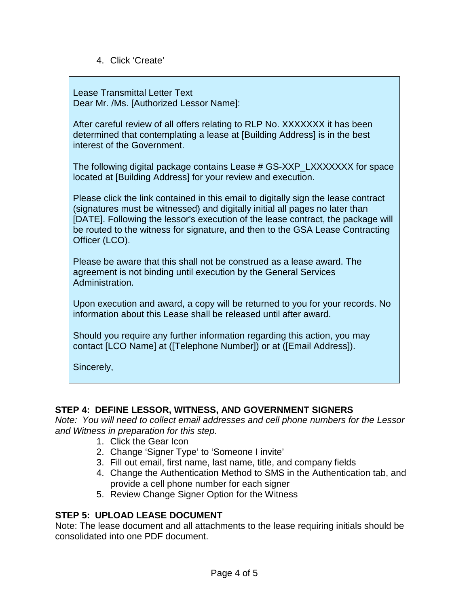4. Click 'Create'

Lease Transmittal Letter Text Dear Mr. /Ms. [Authorized Lessor Name]:

After careful review of all offers relating to RLP No. XXXXXXX it has been determined that contemplating a lease at [Building Address] is in the best interest of the Government.

The following digital package contains Lease # GS-XXP\_LXXXXXXX for space located at [Building Address] for your review and execution.

Please click the link contained in this email to digitally sign the lease contract (signatures must be witnessed) and digitally initial all pages no later than [DATE]. Following the lessor's execution of the lease contract, the package will be routed to the witness for signature, and then to the GSA Lease Contracting Officer (LCO).

Please be aware that this shall not be construed as a lease award. The agreement is not binding until execution by the General Services Administration.

Upon execution and award, a copy will be returned to you for your records. No information about this Lease shall be released until after award.

Should you require any further information regarding this action, you may contact [LCO Name] at ([Telephone Number]) or at ([Email Address]).

Sincerely,

### **STEP 4: DEFINE LESSOR, WITNESS, AND GOVERNMENT SIGNERS**

*Note: You will need to collect email addresses and cell phone numbers for the Lessor and Witness in preparation for this step.*

- 1. Click the Gear Icon
- 2. Change 'Signer Type' to 'Someone I invite'
- 3. Fill out email, first name, last name, title, and company fields
- 4. Change the Authentication Method to SMS in the Authentication tab, and provide a cell phone number for each signer
- 5. Review Change Signer Option for the Witness

### **STEP 5: UPLOAD LEASE DOCUMENT**

Note: The lease document and all attachments to the lease requiring initials should be consolidated into one PDF document.